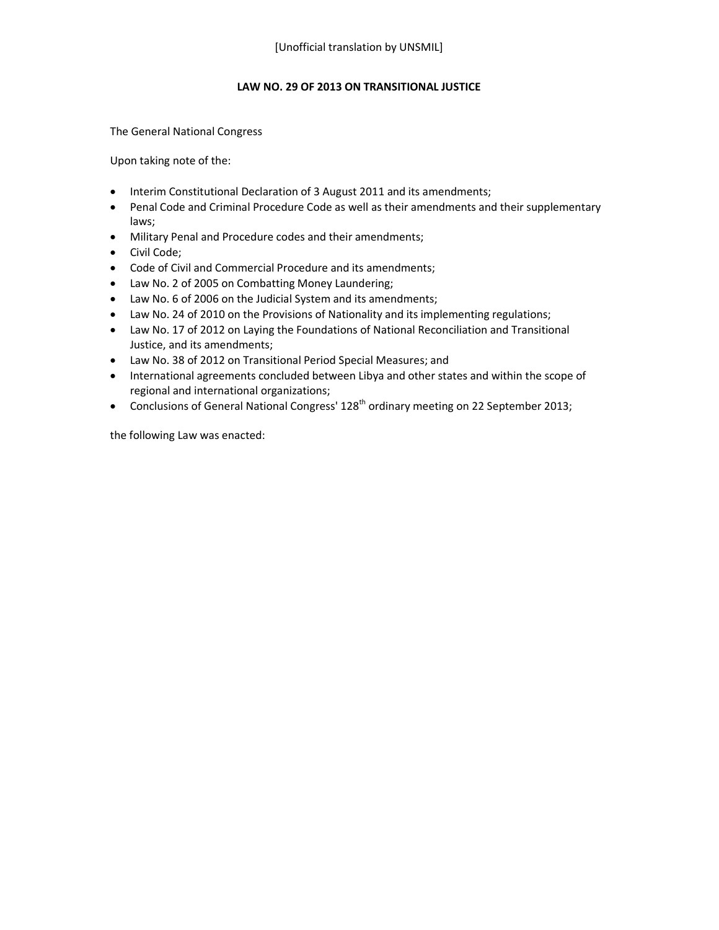### **LAW NO. 29 OF 2013 ON TRANSITIONAL JUSTICE**

The General National Congress

Upon taking note of the:

- Interim Constitutional Declaration of 3 August 2011 and its amendments;
- Penal Code and Criminal Procedure Code as well as their amendments and their supplementary laws;
- Military Penal and Procedure codes and their amendments;
- Civil Code;
- Code of Civil and Commercial Procedure and its amendments;
- Law No. 2 of 2005 on Combatting Money Laundering;
- Law No. 6 of 2006 on the Judicial System and its amendments;
- Law No. 24 of 2010 on the Provisions of Nationality and its implementing regulations;
- Law No. 17 of 2012 on Laying the Foundations of National Reconciliation and Transitional Justice, and its amendments;
- Law No. 38 of 2012 on Transitional Period Special Measures; and
- International agreements concluded between Libya and other states and within the scope of regional and international organizations;
- Conclusions of General National Congress'  $128<sup>th</sup>$  ordinary meeting on 22 September 2013;

the following Law was enacted: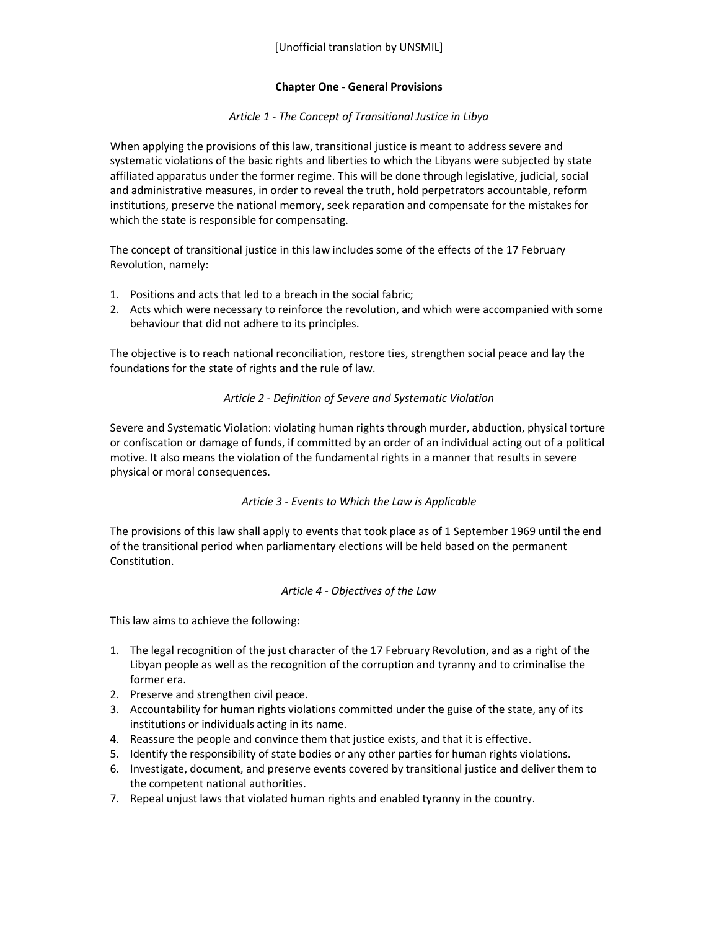### **Chapter One - General Provisions**

### *Article 1 - The Concept of Transitional Justice in Libya*

When applying the provisions of this law, transitional justice is meant to address severe and systematic violations of the basic rights and liberties to which the Libyans were subjected by state affiliated apparatus under the former regime. This will be done through legislative, judicial, social and administrative measures, in order to reveal the truth, hold perpetrators accountable, reform institutions, preserve the national memory, seek reparation and compensate for the mistakes for which the state is responsible for compensating.

The concept of transitional justice in this law includes some of the effects of the 17 February Revolution, namely:

- 1. Positions and acts that led to a breach in the social fabric;
- 2. Acts which were necessary to reinforce the revolution, and which were accompanied with some behaviour that did not adhere to its principles.

The objective is to reach national reconciliation, restore ties, strengthen social peace and lay the foundations for the state of rights and the rule of law.

### *Article 2 - Definition of Severe and Systematic Violation*

Severe and Systematic Violation: violating human rights through murder, abduction, physical torture or confiscation or damage of funds, if committed by an order of an individual acting out of a political motive. It also means the violation of the fundamental rights in a manner that results in severe physical or moral consequences.

#### *Article 3 - Events to Which the Law is Applicable*

The provisions of this law shall apply to events that took place as of 1 September 1969 until the end of the transitional period when parliamentary elections will be held based on the permanent Constitution.

#### *Article 4 - Objectives of the Law*

This law aims to achieve the following:

- 1. The legal recognition of the just character of the 17 February Revolution, and as a right of the Libyan people as well as the recognition of the corruption and tyranny and to criminalise the former era.
- 2. Preserve and strengthen civil peace.
- 3. Accountability for human rights violations committed under the guise of the state, any of its institutions or individuals acting in its name.
- 4. Reassure the people and convince them that justice exists, and that it is effective.
- 5. Identify the responsibility of state bodies or any other parties for human rights violations.
- 6. Investigate, document, and preserve events covered by transitional justice and deliver them to the competent national authorities.
- 7. Repeal unjust laws that violated human rights and enabled tyranny in the country.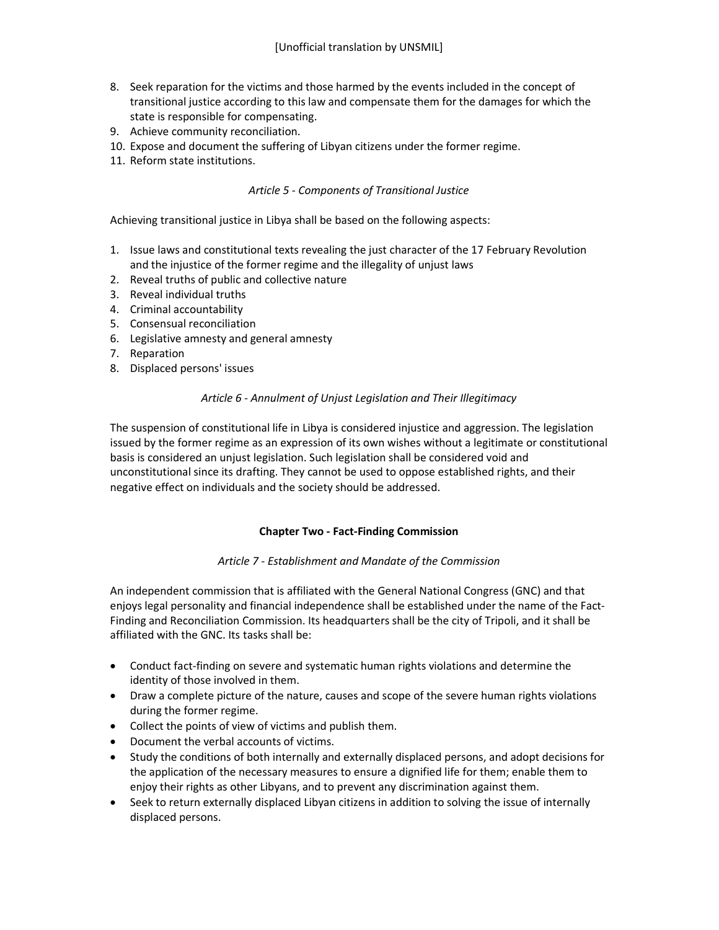- 8. Seek reparation for the victims and those harmed by the events included in the concept of transitional justice according to this law and compensate them for the damages for which the state is responsible for compensating.
- 9. Achieve community reconciliation.
- 10. Expose and document the suffering of Libyan citizens under the former regime.
- 11. Reform state institutions.

### *Article 5 - Components of Transitional Justice*

Achieving transitional justice in Libya shall be based on the following aspects:

- 1. Issue laws and constitutional texts revealing the just character of the 17 February Revolution and the injustice of the former regime and the illegality of unjust laws
- 2. Reveal truths of public and collective nature
- 3. Reveal individual truths
- 4. Criminal accountability
- 5. Consensual reconciliation
- 6. Legislative amnesty and general amnesty
- 7. Reparation
- 8. Displaced persons' issues

#### *Article 6 - Annulment of Unjust Legislation and Their Illegitimacy*

The suspension of constitutional life in Libya is considered injustice and aggression. The legislation issued by the former regime as an expression of its own wishes without a legitimate or constitutional basis is considered an unjust legislation. Such legislation shall be considered void and unconstitutional since its drafting. They cannot be used to oppose established rights, and their negative effect on individuals and the society should be addressed.

#### **Chapter Two - Fact-Finding Commission**

#### *Article 7 - Establishment and Mandate of the Commission*

An independent commission that is affiliated with the General National Congress (GNC) and that enjoys legal personality and financial independence shall be established under the name of the Fact-Finding and Reconciliation Commission. Its headquarters shall be the city of Tripoli, and it shall be affiliated with the GNC. Its tasks shall be:

- Conduct fact-finding on severe and systematic human rights violations and determine the identity of those involved in them.
- Draw a complete picture of the nature, causes and scope of the severe human rights violations during the former regime.
- Collect the points of view of victims and publish them.
- Document the verbal accounts of victims.
- Study the conditions of both internally and externally displaced persons, and adopt decisions for the application of the necessary measures to ensure a dignified life for them; enable them to enjoy their rights as other Libyans, and to prevent any discrimination against them.
- Seek to return externally displaced Libyan citizens in addition to solving the issue of internally displaced persons.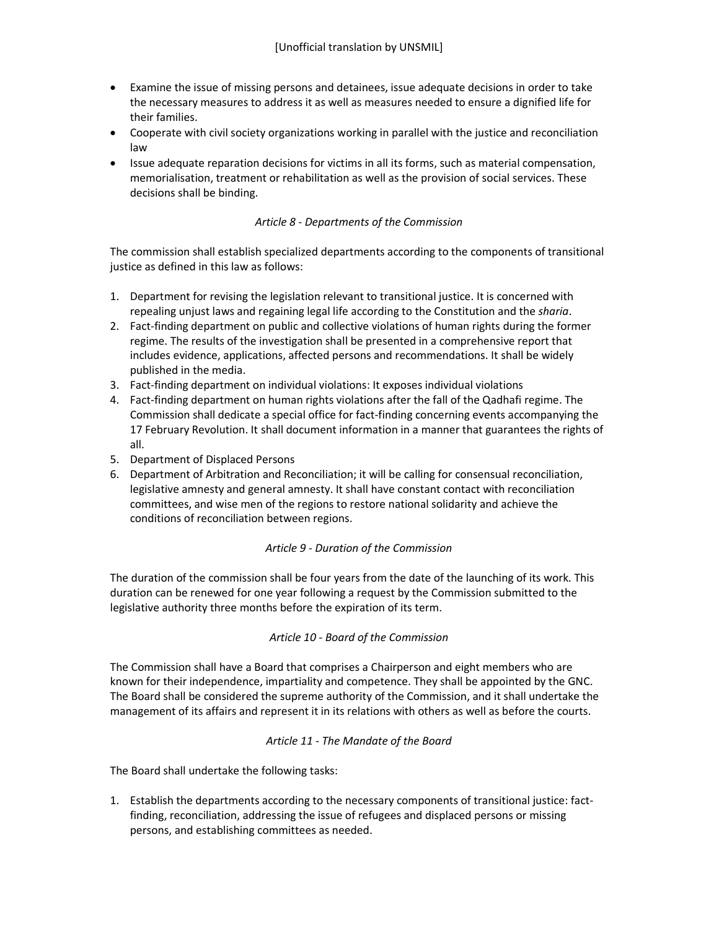- Examine the issue of missing persons and detainees, issue adequate decisions in order to take the necessary measures to address it as well as measures needed to ensure a dignified life for their families.
- Cooperate with civil society organizations working in parallel with the justice and reconciliation law
- Issue adequate reparation decisions for victims in all its forms, such as material compensation, memorialisation, treatment or rehabilitation as well as the provision of social services. These decisions shall be binding.

# *Article 8 - Departments of the Commission*

The commission shall establish specialized departments according to the components of transitional justice as defined in this law as follows:

- 1. Department for revising the legislation relevant to transitional justice. It is concerned with repealing unjust laws and regaining legal life according to the Constitution and the *sharia*.
- 2. Fact-finding department on public and collective violations of human rights during the former regime. The results of the investigation shall be presented in a comprehensive report that includes evidence, applications, affected persons and recommendations. It shall be widely published in the media.
- 3. Fact-finding department on individual violations: It exposes individual violations
- 4. Fact-finding department on human rights violations after the fall of the Qadhafi regime. The Commission shall dedicate a special office for fact-finding concerning events accompanying the 17 February Revolution. It shall document information in a manner that guarantees the rights of all.
- 5. Department of Displaced Persons
- 6. Department of Arbitration and Reconciliation; it will be calling for consensual reconciliation, legislative amnesty and general amnesty. It shall have constant contact with reconciliation committees, and wise men of the regions to restore national solidarity and achieve the conditions of reconciliation between regions.

# *Article 9 - Duration of the Commission*

The duration of the commission shall be four years from the date of the launching of its work. This duration can be renewed for one year following a request by the Commission submitted to the legislative authority three months before the expiration of its term.

# *Article 10 - Board of the Commission*

The Commission shall have a Board that comprises a Chairperson and eight members who are known for their independence, impartiality and competence. They shall be appointed by the GNC. The Board shall be considered the supreme authority of the Commission, and it shall undertake the management of its affairs and represent it in its relations with others as well as before the courts.

# *Article 11 - The Mandate of the Board*

The Board shall undertake the following tasks:

1. Establish the departments according to the necessary components of transitional justice: factfinding, reconciliation, addressing the issue of refugees and displaced persons or missing persons, and establishing committees as needed.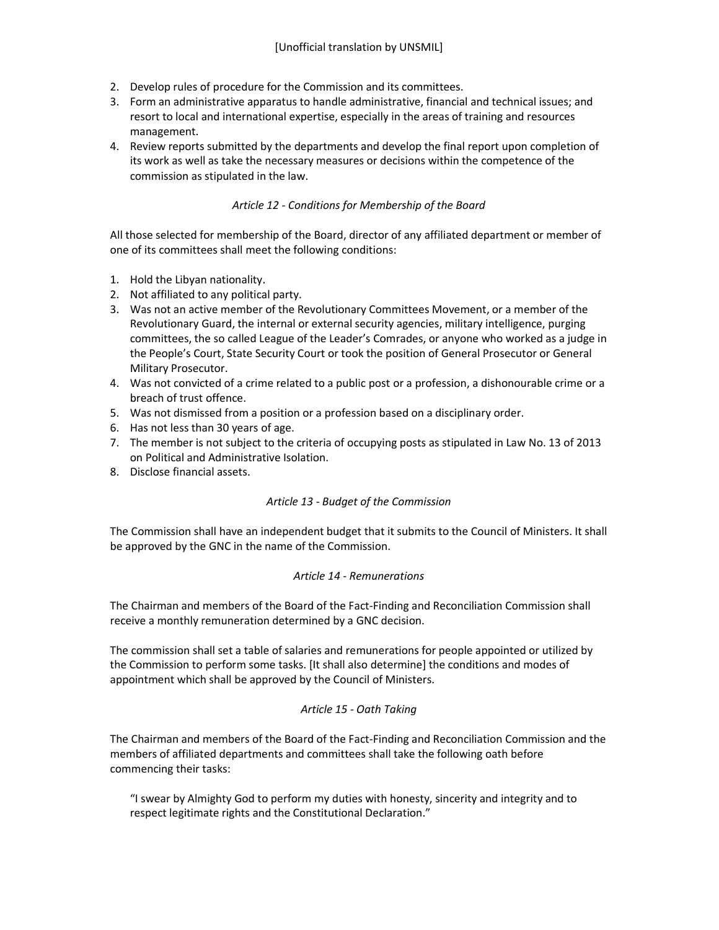- 2. Develop rules of procedure for the Commission and its committees.
- 3. Form an administrative apparatus to handle administrative, financial and technical issues; and resort to local and international expertise, especially in the areas of training and resources management.
- 4. Review reports submitted by the departments and develop the final report upon completion of its work as well as take the necessary measures or decisions within the competence of the commission as stipulated in the law.

### *Article 12 - Conditions for Membership of the Board*

All those selected for membership of the Board, director of any affiliated department or member of one of its committees shall meet the following conditions:

- 1. Hold the Libyan nationality.
- 2. Not affiliated to any political party.
- 3. Was not an active member of the Revolutionary Committees Movement, or a member of the Revolutionary Guard, the internal or external security agencies, military intelligence, purging committees, the so called League of the Leader's Comrades, or anyone who worked as a judge in the People's Court, State Security Court or took the position of General Prosecutor or General Military Prosecutor.
- 4. Was not convicted of a crime related to a public post or a profession, a dishonourable crime or a breach of trust offence.
- 5. Was not dismissed from a position or a profession based on a disciplinary order.
- 6. Has not less than 30 years of age.
- 7. The member is not subject to the criteria of occupying posts as stipulated in Law No. 13 of 2013 on Political and Administrative Isolation.
- 8. Disclose financial assets.

#### *Article 13 - Budget of the Commission*

The Commission shall have an independent budget that it submits to the Council of Ministers. It shall be approved by the GNC in the name of the Commission.

#### *Article 14 - Remunerations*

The Chairman and members of the Board of the Fact-Finding and Reconciliation Commission shall receive a monthly remuneration determined by a GNC decision.

The commission shall set a table of salaries and remunerations for people appointed or utilized by the Commission to perform some tasks. [It shall also determine] the conditions and modes of appointment which shall be approved by the Council of Ministers.

#### *Article 15 - Oath Taking*

The Chairman and members of the Board of the Fact-Finding and Reconciliation Commission and the members of affiliated departments and committees shall take the following oath before commencing their tasks:

"I swear by Almighty God to perform my duties with honesty, sincerity and integrity and to respect legitimate rights and the Constitutional Declaration."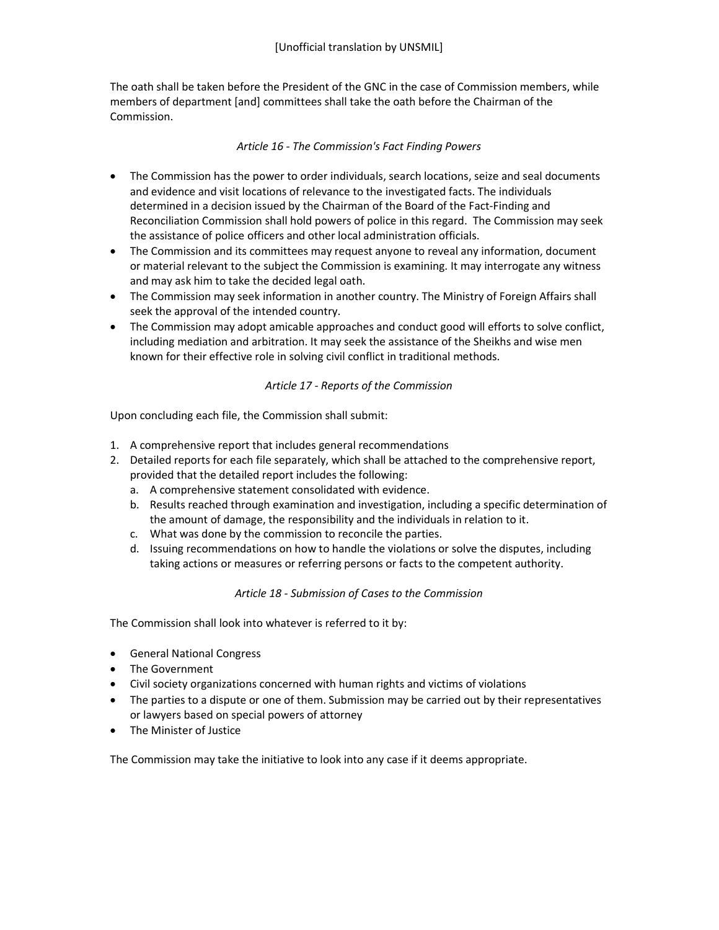The oath shall be taken before the President of the GNC in the case of Commission members, while members of department [and] committees shall take the oath before the Chairman of the Commission.

# *Article 16 - The Commission's Fact Finding Powers*

- The Commission has the power to order individuals, search locations, seize and seal documents and evidence and visit locations of relevance to the investigated facts. The individuals determined in a decision issued by the Chairman of the Board of the Fact-Finding and Reconciliation Commission shall hold powers of police in this regard. The Commission may seek the assistance of police officers and other local administration officials.
- The Commission and its committees may request anyone to reveal any information, document or material relevant to the subject the Commission is examining. It may interrogate any witness and may ask him to take the decided legal oath.
- The Commission may seek information in another country. The Ministry of Foreign Affairs shall seek the approval of the intended country.
- The Commission may adopt amicable approaches and conduct good will efforts to solve conflict, including mediation and arbitration. It may seek the assistance of the Sheikhs and wise men known for their effective role in solving civil conflict in traditional methods.

# *Article 17 - Reports of the Commission*

Upon concluding each file, the Commission shall submit:

- 1. A comprehensive report that includes general recommendations
- 2. Detailed reports for each file separately, which shall be attached to the comprehensive report, provided that the detailed report includes the following:
	- a. A comprehensive statement consolidated with evidence.
	- b. Results reached through examination and investigation, including a specific determination of the amount of damage, the responsibility and the individuals in relation to it.
	- c. What was done by the commission to reconcile the parties.
	- d. Issuing recommendations on how to handle the violations or solve the disputes, including taking actions or measures or referring persons or facts to the competent authority.

# *Article 18 - Submission of Cases to the Commission*

The Commission shall look into whatever is referred to it by:

- General National Congress
- The Government
- Civil society organizations concerned with human rights and victims of violations
- The parties to a dispute or one of them. Submission may be carried out by their representatives or lawyers based on special powers of attorney
- The Minister of Justice

The Commission may take the initiative to look into any case if it deems appropriate.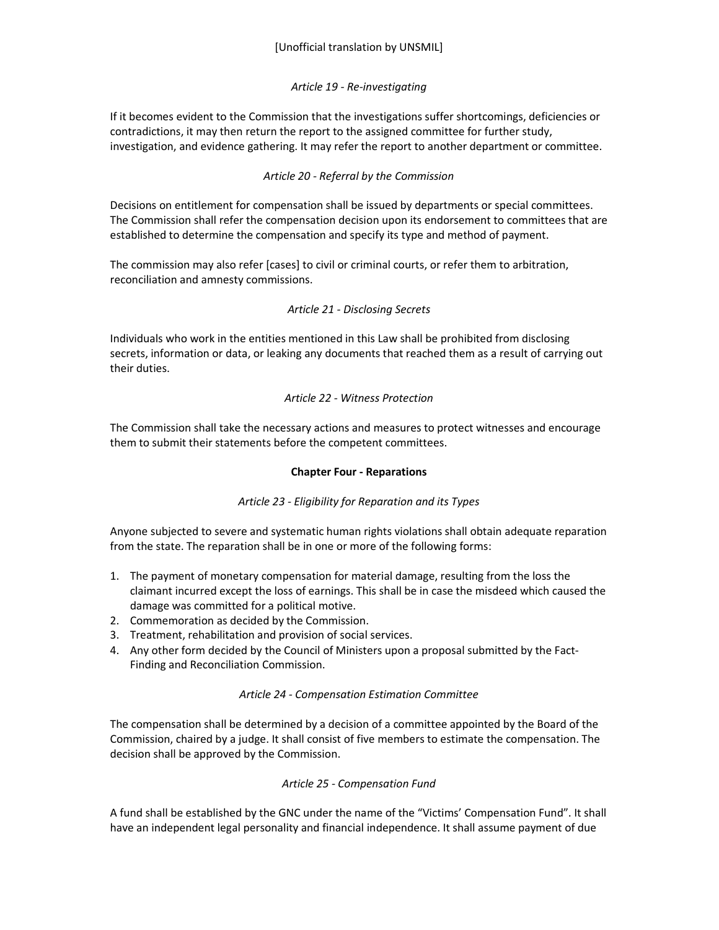# *Article 19 - Re-investigating*

If it becomes evident to the Commission that the investigations suffer shortcomings, deficiencies or contradictions, it may then return the report to the assigned committee for further study, investigation, and evidence gathering. It may refer the report to another department or committee.

# *Article 20 - Referral by the Commission*

Decisions on entitlement for compensation shall be issued by departments or special committees. The Commission shall refer the compensation decision upon its endorsement to committees that are established to determine the compensation and specify its type and method of payment.

The commission may also refer [cases] to civil or criminal courts, or refer them to arbitration, reconciliation and amnesty commissions.

# *Article 21 - Disclosing Secrets*

Individuals who work in the entities mentioned in this Law shall be prohibited from disclosing secrets, information or data, or leaking any documents that reached them as a result of carrying out their duties.

# *Article 22 - Witness Protection*

The Commission shall take the necessary actions and measures to protect witnesses and encourage them to submit their statements before the competent committees.

# **Chapter Four - Reparations**

# *Article 23 - Eligibility for Reparation and its Types*

Anyone subjected to severe and systematic human rights violations shall obtain adequate reparation from the state. The reparation shall be in one or more of the following forms:

- 1. The payment of monetary compensation for material damage, resulting from the loss the claimant incurred except the loss of earnings. This shall be in case the misdeed which caused the damage was committed for a political motive.
- 2. Commemoration as decided by the Commission.
- 3. Treatment, rehabilitation and provision of social services.
- 4. Any other form decided by the Council of Ministers upon a proposal submitted by the Fact-Finding and Reconciliation Commission.

# *Article 24 - Compensation Estimation Committee*

The compensation shall be determined by a decision of a committee appointed by the Board of the Commission, chaired by a judge. It shall consist of five members to estimate the compensation. The decision shall be approved by the Commission.

# *Article 25 - Compensation Fund*

A fund shall be established by the GNC under the name of the "Victims' Compensation Fund". It shall have an independent legal personality and financial independence. It shall assume payment of due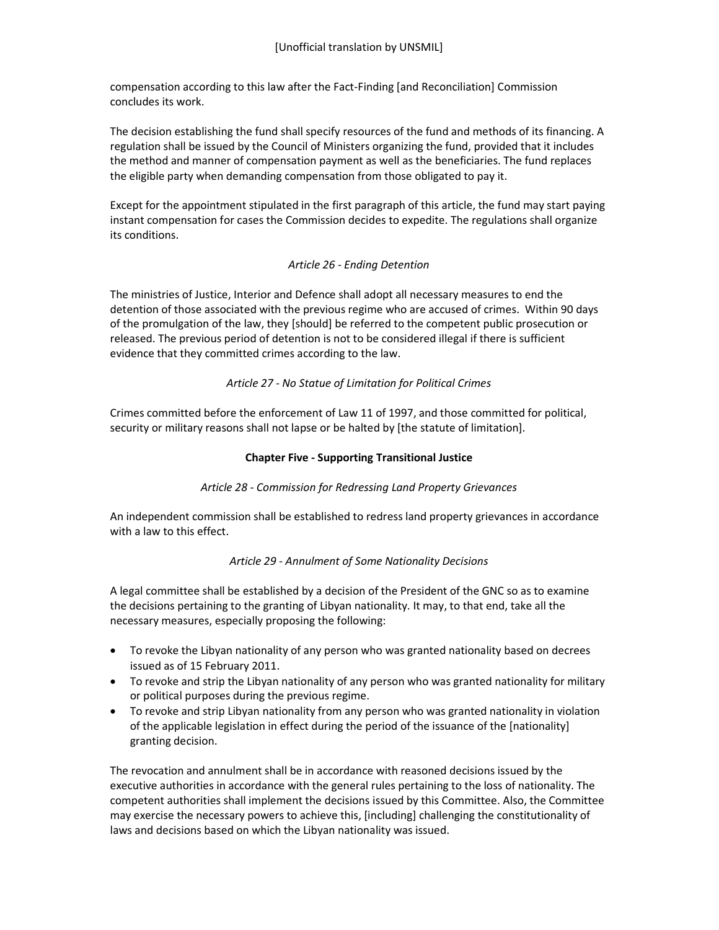compensation according to this law after the Fact-Finding [and Reconciliation] Commission concludes its work.

The decision establishing the fund shall specify resources of the fund and methods of its financing. A regulation shall be issued by the Council of Ministers organizing the fund, provided that it includes the method and manner of compensation payment as well as the beneficiaries. The fund replaces the eligible party when demanding compensation from those obligated to pay it.

Except for the appointment stipulated in the first paragraph of this article, the fund may start paying instant compensation for cases the Commission decides to expedite. The regulations shall organize its conditions.

# *Article 26 - Ending Detention*

The ministries of Justice, Interior and Defence shall adopt all necessary measures to end the detention of those associated with the previous regime who are accused of crimes. Within 90 days of the promulgation of the law, they [should] be referred to the competent public prosecution or released. The previous period of detention is not to be considered illegal if there is sufficient evidence that they committed crimes according to the law.

# *Article 27 - No Statue of Limitation for Political Crimes*

Crimes committed before the enforcement of Law 11 of 1997, and those committed for political, security or military reasons shall not lapse or be halted by [the statute of limitation].

# **Chapter Five - Supporting Transitional Justice**

# *Article 28 - Commission for Redressing Land Property Grievances*

An independent commission shall be established to redress land property grievances in accordance with a law to this effect.

# *Article 29 - Annulment of Some Nationality Decisions*

A legal committee shall be established by a decision of the President of the GNC so as to examine the decisions pertaining to the granting of Libyan nationality. It may, to that end, take all the necessary measures, especially proposing the following:

- To revoke the Libyan nationality of any person who was granted nationality based on decrees issued as of 15 February 2011.
- To revoke and strip the Libyan nationality of any person who was granted nationality for military or political purposes during the previous regime.
- To revoke and strip Libyan nationality from any person who was granted nationality in violation of the applicable legislation in effect during the period of the issuance of the [nationality] granting decision.

The revocation and annulment shall be in accordance with reasoned decisions issued by the executive authorities in accordance with the general rules pertaining to the loss of nationality. The competent authorities shall implement the decisions issued by this Committee. Also, the Committee may exercise the necessary powers to achieve this, [including] challenging the constitutionality of laws and decisions based on which the Libyan nationality was issued.